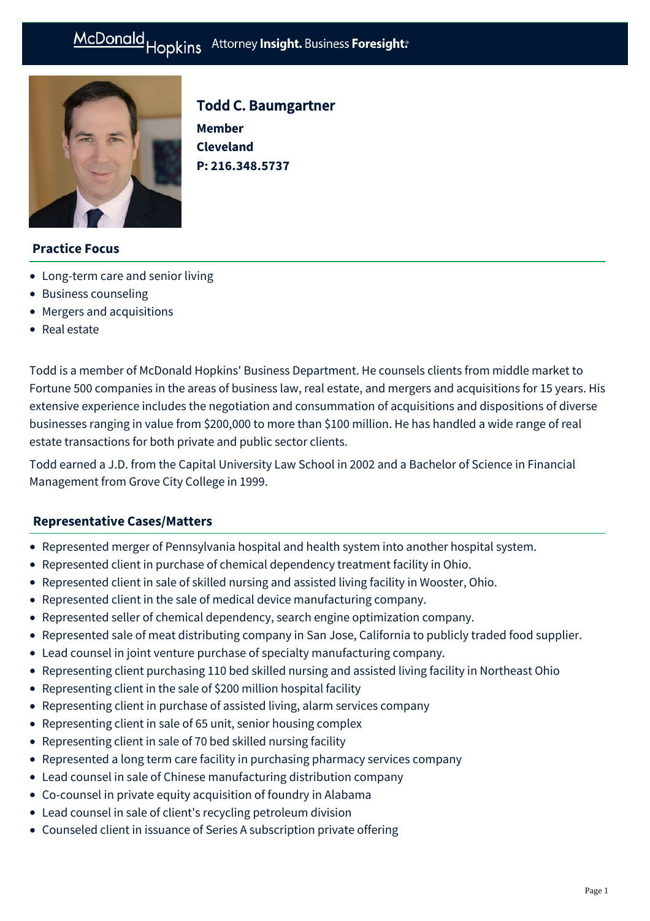# McDonald Hopkins Attorney Insight. Business Foresight:



# Todd C. Baumgartner

**Member Cleveland P: [216.348.5737](tel:216.348.5737)**

## **Practice Focus**

- [Long-term care and senior living](https://mcdonaldhopkins.com/Expertise/Healthcare/Long-term-care-and-senior-living)
- [Business counseling](https://mcdonaldhopkins.com/Expertise/Business-counseling)
- [Mergers and acquisitions](https://mcdonaldhopkins.com/Expertise/Mergers-and-acquisitions)
- [Real estate](https://mcdonaldhopkins.com/Expertise/Real-estate)

Todd is a member of McDonald Hopkins' Business Department. He counsels clients from middle market to Fortune 500 companies in the areas of business law, real estate, and mergers and acquisitions for 15 years. His extensive experience includes the negotiation and consummation of acquisitions and dispositions of diverse businesses ranging in value from \$200,000 to more than \$100 million. He has handled a wide range of real estate transactions for both private and public sector clients.

Todd earned a J.D. from the Capital University Law School in 2002 and a Bachelor of Science in Financial Management from Grove City College in 1999.

## **[Representative Cases/Matters](#page-0-0)**

- <span id="page-0-0"></span>Represented merger of Pennsylvania hospital and health system into another hospital system.
- Represented client in purchase of chemical dependency treatment facility in Ohio.
- Represented client in sale of skilled nursing and assisted living facility in Wooster, Ohio.
- Represented client in the sale of medical device manufacturing company.
- Represented seller of chemical dependency, search engine optimization company.
- Represented sale of meat distributing company in San Jose, California to publicly traded food supplier.
- Lead counsel in joint venture purchase of specialty manufacturing company.
- Representing client purchasing 110 bed skilled nursing and assisted living facility in Northeast Ohio
- Representing client in the sale of \$200 million hospital facility
- Representing client in purchase of assisted living, alarm services company
- Representing client in sale of 65 unit, senior housing complex
- Representing client in sale of 70 bed skilled nursing facility
- Represented a long term care facility in purchasing pharmacy services company
- Lead counsel in sale of Chinese manufacturing distribution company
- Co-counsel in private equity acquisition of foundry in Alabama
- Lead counsel in sale of client's recycling petroleum division
- Counseled client in issuance of Series A subscription private offering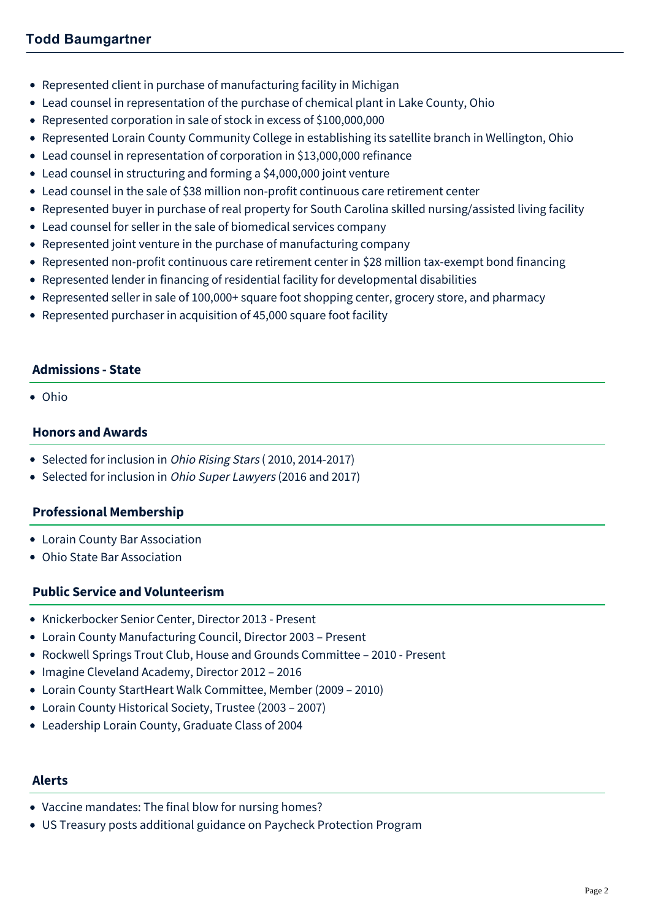- Represented client in purchase of manufacturing facility in Michigan
- Lead counsel in representation of the purchase of chemical plant in Lake County, Ohio
- Represented corporation in sale of stock in excess of \$100,000,000
- Represented Lorain County Community College in establishing its satellite branch in Wellington, Ohio
- Lead counsel in representation of corporation in \$13,000,000 refinance
- Lead counsel in structuring and forming a \$4,000,000 joint venture
- Lead counsel in the sale of \$38 million non-profit continuous care retirement center
- Represented buyer in purchase of real property for South Carolina skilled nursing/assisted living facility
- Lead counsel for seller in the sale of biomedical services company
- Represented joint venture in the purchase of manufacturing company
- Represented non-profit continuous care retirement center in \$28 million tax-exempt bond financing
- Represented lender in financing of residential facility for developmental disabilities
- Represented seller in sale of 100,000+ square foot shopping center, grocery store, and pharmacy
- Represented purchaser in acquisition of 45,000 square foot facility

## **Admissions - State**

Ohio

## **Honors and Awards**

- Selected for inclusion in *Ohio Rising Stars* (2010, 2014-2017)
- Selected for inclusion in Ohio Super Lawyers (2016 and 2017)

## **Professional Membership**

- Lorain County Bar Association
- Ohio State Bar Association

## **Public Service and Volunteerism**

- Knickerbocker Senior Center, Director 2013 Present
- Lorain County Manufacturing Council, Director 2003 Present
- Rockwell Springs Trout Club, House and Grounds Committee 2010 Present
- Imagine Cleveland Academy, Director 2012 2016
- Lorain County StartHeart Walk Committee, Member (2009 2010)
- Lorain County Historical Society, Trustee (2003 2007)
- Leadership Lorain County, Graduate Class of 2004

## **Alerts**

- [Vaccine mandates: The final blow for nursing homes?](https://mcdonaldhopkins.com/Insights/August-2021/Vaccine-mandates-The-final-blow-for-nursing-homes)
- [US Treasury posts additional guidance on Paycheck Protection Program](https://mcdonaldhopkins.com/Insights/April-2020/UPDATE-US-Treasury-posts-additional-guidance-on-Pa)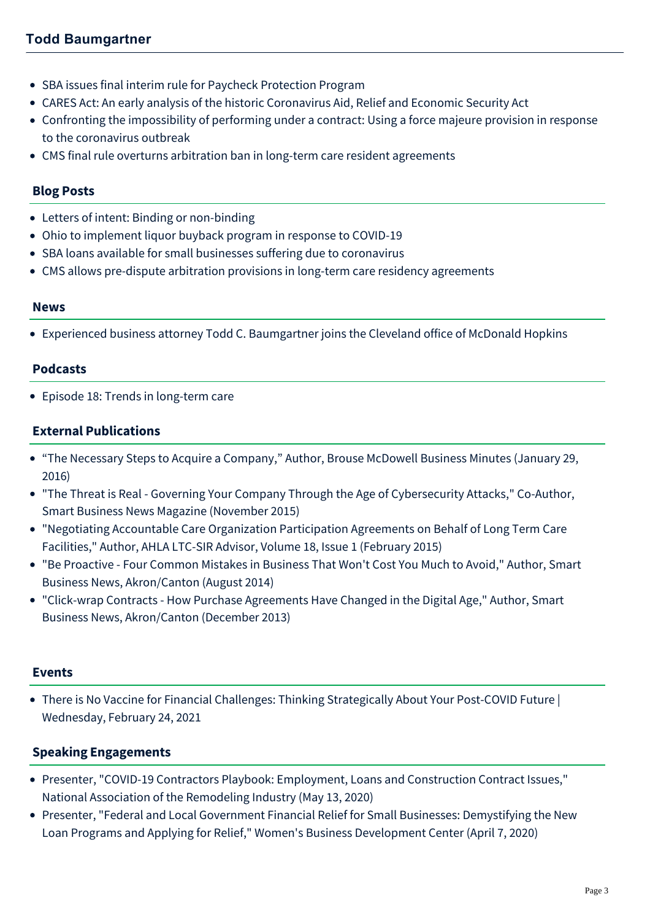- [SBA issues final interim rule for Paycheck Protection Program](https://mcdonaldhopkins.com/Insights/April-2020/Paycheck-Protection-Program-Understanding-the-Inte)
- [CARES Act: An early analysis of the historic Coronavirus Aid, Relief and Economic Security Act](https://mcdonaldhopkins.com/Insights/March-2020/CARES-ACT-overview)
- [Confronting the impossibility of performing under a contract: Using a force majeure provision in response](https://mcdonaldhopkins.com/Insights/March-2020/Using-a-force-majeure-provision-in-response-to-the) to the coronavirus outbreak
- [CMS final rule overturns arbitration ban in long-term care resident agreements](https://mcdonaldhopkins.com/Insights/August-2019/CMS-final-rule-overturns-arbitration-ban-in-long-t)

## **Blog Posts**

- [Letters of intent: Binding or non-binding](https://mcdonaldhopkins.com/Insights/March-2020/Letters-of-intent-binding-or-non-binding)
- [Ohio to implement liquor buyback program in response to COVID-19](https://mcdonaldhopkins.com/Insights/March-2020/Ohio-to-Implement-Liquor-Buyback-Program-in-Respon)
- [SBA loans available for small businesses suffering due to coronavirus](https://mcdonaldhopkins.com/Insights/March-2020/SBA-loans-available-for-small-businesses-suffering)
- [CMS allows pre-dispute arbitration provisions in long-term care residency agreements](https://mcdonaldhopkins.com/Insights/June-2017/CMS-allows-pre-dispute-arbitration-provisions-in-l)

#### **News**

[Experienced business attorney Todd C. Baumgartner joins the Cleveland office of McDonald Hopkins](https://mcdonaldhopkins.com/Insights/January-2017/Experienced-business-attorney-Todd-Baumgartner-joi)

#### **Podcasts**

[Episode 18: Trends in long-term care](https://mcdonaldhopkins.com/Insights/August-2018/Episode-18-Trends-in-Long-Term-Care)

## **External Publications**

- "The Necessary Steps to Acquire a Company," Author, Brouse McDowell Business Minutes (January 29, 2016)
- "The Threat is Real Governing Your Company Through the Age of Cybersecurity Attacks," Co-Author, Smart Business News Magazine (November 2015)
- "Negotiating Accountable Care Organization Participation Agreements on Behalf of Long Term Care Facilities," Author, AHLA LTC-SIR Advisor, Volume 18, Issue 1 (February 2015)
- "Be Proactive Four Common Mistakes in Business That Won't Cost You Much to Avoid," Author, Smart Business News, Akron/Canton (August 2014)
- "Click-wrap Contracts How Purchase Agreements Have Changed in the Digital Age," Author, Smart Business News, Akron/Canton (December 2013)

#### **Events**

[There is No Vaccine for Financial Challenges: Thinking Strategically About Your Post-COVID Future |](https://mcdonaldhopkins.com/Events/2021/There-is-No-Vaccine-for-Financial-Challenges-Think) Wednesday, February 24, 2021

## **Speaking Engagements**

- Presenter, "COVID-19 Contractors Playbook: Employment, Loans and Construction Contract Issues," National Association of the Remodeling Industry (May 13, 2020)
- Presenter, "Federal and Local Government Financial Relief for Small Businesses: Demystifying the New Loan Programs and Applying for Relief," Women's Business Development Center (April 7, 2020)